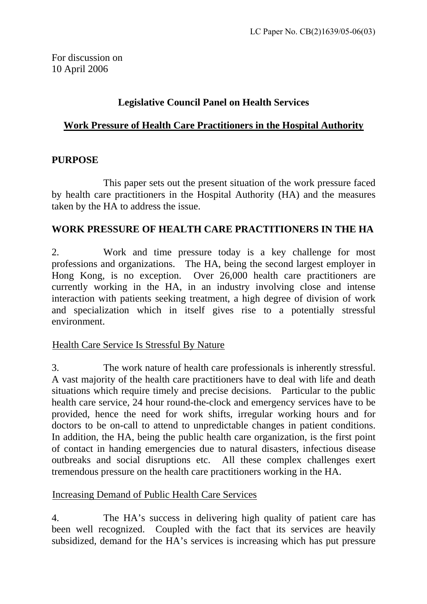## **Legislative Council Panel on Health Services**

# <sup>U</sup>**Work Pressure of Health Care Practitioners in the Hospital Authority** <sup>U</sup>

### **PURPOSE**

 This paper sets out the present situation of the work pressure faced by health care practitioners in the Hospital Authority (HA) and the measures taken by the HA to address the issue.

## **WORK PRESSURE OF HEALTH CARE PRACTITIONERS IN THE HA**

2. Work and time pressure today is a key challenge for most professions and organizations. The HA, being the second largest employer in Hong Kong, is no exception. Over 26,000 health care practitioners are currently working in the HA, in an industry involving close and intense interaction with patients seeking treatment, a high degree of division of work and specialization which in itself gives rise to a potentially stressful environment.

## Health Care Service Is Stressful By Nature

3. The work nature of health care professionals is inherently stressful. A vast majority of the health care practitioners have to deal with life and death situations which require timely and precise decisions. Particular to the public health care service, 24 hour round-the-clock and emergency services have to be provided, hence the need for work shifts, irregular working hours and for doctors to be on-call to attend to unpredictable changes in patient conditions. In addition, the HA, being the public health care organization, is the first point of contact in handing emergencies due to natural disasters, infectious disease outbreaks and social disruptions etc. All these complex challenges exert tremendous pressure on the health care practitioners working in the HA.

#### Increasing Demand of Public Health Care Services

4. The HA's success in delivering high quality of patient care has been well recognized. Coupled with the fact that its services are heavily subsidized, demand for the HA's services is increasing which has put pressure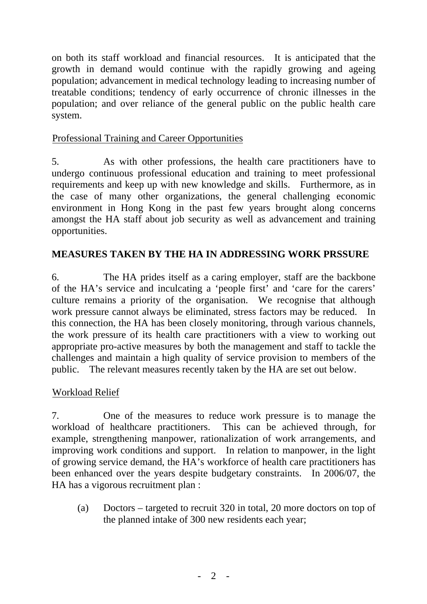on both its staff workload and financial resources. It is anticipated that the growth in demand would continue with the rapidly growing and ageing population; advancement in medical technology leading to increasing number of treatable conditions; tendency of early occurrence of chronic illnesses in the population; and over reliance of the general public on the public health care system.

### Professional Training and Career Opportunities

5. As with other professions, the health care practitioners have to undergo continuous professional education and training to meet professional requirements and keep up with new knowledge and skills. Furthermore, as in the case of many other organizations, the general challenging economic environment in Hong Kong in the past few years brought along concerns amongst the HA staff about job security as well as advancement and training opportunities.

## **MEASURES TAKEN BY THE HA IN ADDRESSING WORK PRSSURE**

6. The HA prides itself as a caring employer, staff are the backbone of the HA's service and inculcating a 'people first' and 'care for the carers' culture remains a priority of the organisation. We recognise that although work pressure cannot always be eliminated, stress factors may be reduced. In this connection, the HA has been closely monitoring, through various channels, the work pressure of its health care practitioners with a view to working out appropriate pro-active measures by both the management and staff to tackle the challenges and maintain a high quality of service provision to members of the public. The relevant measures recently taken by the HA are set out below.

#### <sup>U</sup>Workload Relief

7. One of the measures to reduce work pressure is to manage the workload of healthcare practitioners. This can be achieved through, for example, strengthening manpower, rationalization of work arrangements, and improving work conditions and support. In relation to manpower, in the light of growing service demand, the HA's workforce of health care practitioners has been enhanced over the years despite budgetary constraints. In 2006/07, the HA has a vigorous recruitment plan :

(a) Doctors – targeted to recruit 320 in total, 20 more doctors on top of the planned intake of 300 new residents each year;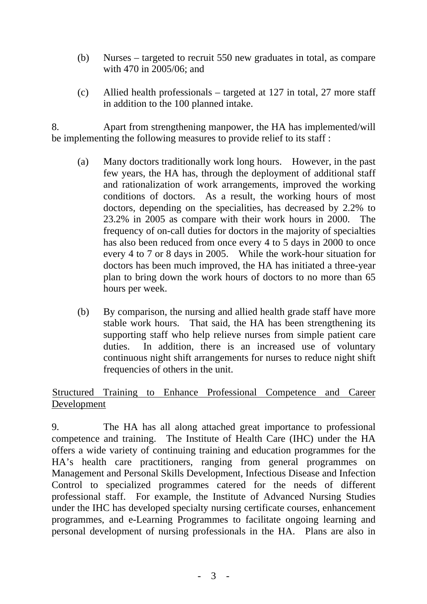- (b) Nurses targeted to recruit 550 new graduates in total, as compare with 470 in 2005/06; and
- (c) Allied health professionals targeted at 127 in total, 27 more staff in addition to the 100 planned intake.

8. Apart from strengthening manpower, the HA has implemented/will be implementing the following measures to provide relief to its staff :

- (a) Many doctors traditionally work long hours. However, in the past few years, the HA has, through the deployment of additional staff and rationalization of work arrangements, improved the working conditions of doctors. As a result, the working hours of most doctors, depending on the specialities, has decreased by 2.2% to 23.2% in 2005 as compare with their work hours in 2000. The frequency of on-call duties for doctors in the majority of specialties has also been reduced from once every 4 to 5 days in 2000 to once every 4 to 7 or 8 days in 2005. While the work-hour situation for doctors has been much improved, the HA has initiated a three-year plan to bring down the work hours of doctors to no more than 65 hours per week.
- (b) By comparison, the nursing and allied health grade staff have more stable work hours. That said, the HA has been strengthening its supporting staff who help relieve nurses from simple patient care duties. In addition, there is an increased use of voluntary continuous night shift arrangements for nurses to reduce night shift frequencies of others in the unit.

Structured Training to Enhance Professional Competence and Career Development

9. The HA has all along attached great importance to professional competence and training. The Institute of Health Care (IHC) under the HA offers a wide variety of continuing training and education programmes for the HA's health care practitioners, ranging from general programmes on Management and Personal Skills Development, Infectious Disease and Infection Control to specialized programmes catered for the needs of different professional staff. For example, the Institute of Advanced Nursing Studies under the IHC has developed specialty nursing certificate courses, enhancement programmes, and e-Learning Programmes to facilitate ongoing learning and personal development of nursing professionals in the HA. Plans are also in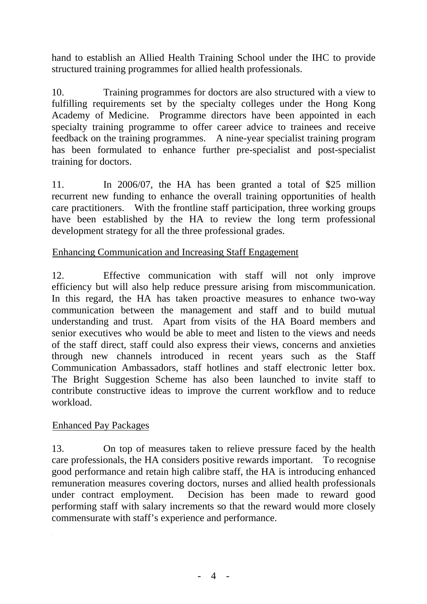hand to establish an Allied Health Training School under the IHC to provide structured training programmes for allied health professionals.

10. Training programmes for doctors are also structured with a view to fulfilling requirements set by the specialty colleges under the Hong Kong Academy of Medicine. Programme directors have been appointed in each specialty training programme to offer career advice to trainees and receive feedback on the training programmes. A nine-year specialist training program has been formulated to enhance further pre-specialist and post-specialist training for doctors.

11. In 2006/07, the HA has been granted a total of \$25 million recurrent new funding to enhance the overall training opportunities of health care practitioners. With the frontline staff participation, three working groups have been established by the HA to review the long term professional development strategy for all the three professional grades.

#### Enhancing Communication and Increasing Staff Engagement

12. Effective communication with staff will not only improve efficiency but will also help reduce pressure arising from miscommunication. In this regard, the HA has taken proactive measures to enhance two-way communication between the management and staff and to build mutual understanding and trust. Apart from visits of the HA Board members and senior executives who would be able to meet and listen to the views and needs of the staff direct, staff could also express their views, concerns and anxieties through new channels introduced in recent years such as the Staff Communication Ambassadors, staff hotlines and staff electronic letter box. The Bright Suggestion Scheme has also been launched to invite staff to contribute constructive ideas to improve the current workflow and to reduce workload.

#### Enhanced Pay Packages

13. On top of measures taken to relieve pressure faced by the health care professionals, the HA considers positive rewards important. To recognise good performance and retain high calibre staff, the HA is introducing enhanced remuneration measures covering doctors, nurses and allied health professionals under contract employment. Decision has been made to reward good performing staff with salary increments so that the reward would more closely commensurate with staff's experience and performance.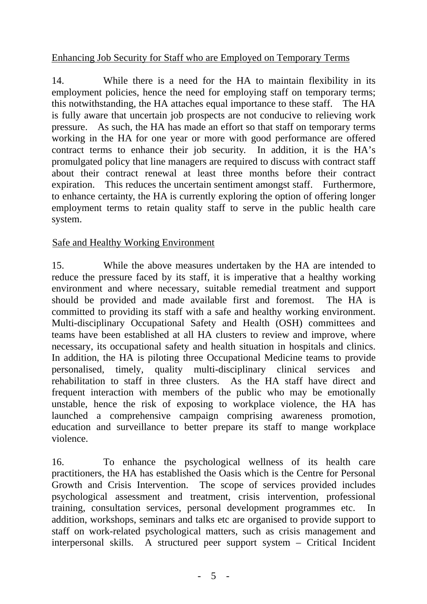### Enhancing Job Security for Staff who are Employed on Temporary Terms

14. While there is a need for the HA to maintain flexibility in its employment policies, hence the need for employing staff on temporary terms; this notwithstanding, the HA attaches equal importance to these staff. The HA is fully aware that uncertain job prospects are not conducive to relieving work pressure. As such, the HA has made an effort so that staff on temporary terms working in the HA for one year or more with good performance are offered contract terms to enhance their job security. In addition, it is the HA's promulgated policy that line managers are required to discuss with contract staff about their contract renewal at least three months before their contract expiration. This reduces the uncertain sentiment amongst staff. Furthermore, to enhance certainty, the HA is currently exploring the option of offering longer employment terms to retain quality staff to serve in the public health care system.

### Safe and Healthy Working Environment

15. While the above measures undertaken by the HA are intended to reduce the pressure faced by its staff, it is imperative that a healthy working environment and where necessary, suitable remedial treatment and support should be provided and made available first and foremost. The HA is committed to providing its staff with a safe and healthy working environment. Multi-disciplinary Occupational Safety and Health (OSH) committees and teams have been established at all HA clusters to review and improve, where necessary, its occupational safety and health situation in hospitals and clinics. In addition, the HA is piloting three Occupational Medicine teams to provide personalised, timely, quality multi-disciplinary clinical services and rehabilitation to staff in three clusters. As the HA staff have direct and frequent interaction with members of the public who may be emotionally unstable, hence the risk of exposing to workplace violence, the HA has launched a comprehensive campaign comprising awareness promotion, education and surveillance to better prepare its staff to mange workplace violence.

16. To enhance the psychological wellness of its health care practitioners, the HA has established the Oasis which is the Centre for Personal Growth and Crisis Intervention. The scope of services provided includes psychological assessment and treatment, crisis intervention, professional training, consultation services, personal development programmes etc. In addition, workshops, seminars and talks etc are organised to provide support to staff on work-related psychological matters, such as crisis management and interpersonal skills. A structured peer support system – Critical Incident